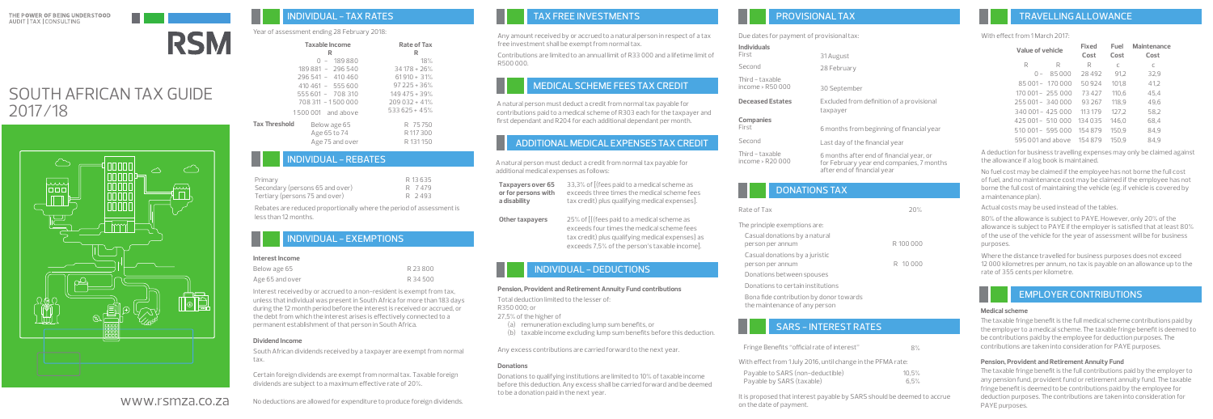

# SOUTH AFRICAN TAX GUIDE 2017/18



# TAX FREE INVESTMENTS

# MEDICAL SCHEME FEES TAX CREDIT

A natural person must deduct a credit from normal tax payable for additional medical expenses as follows:

**Taxpayers over 65** 33,3% of [(fees paid to a medical scheme as **or for persons with a disability**  exceeds three times the medical scheme fees tax credit) plus qualifying medical expenses].

**Other taxpayers**  25% of [{(fees paid to a medical scheme as exceeds four times the medical scheme fees tax credit) plus qualifying medical expenses} as exceeds 7,5% of the person's taxable income].

### INDIVIDUAL - DEDUCTIONS

# PROVISIONALTAX

Due dates for payment of provisional tax:

**Individuals**

### With effect from 1 March 2017

| Value of vehicle  |                  | Fixed<br>Cost | Fuel<br>Cost | Maintenance<br>Cost |
|-------------------|------------------|---------------|--------------|---------------------|
| R                 | R                | R             | C            | C                   |
| $\Omega$ -        | 85000            | 28492         | 91.2         | 32,9                |
|                   | 85 001 - 170 000 | 50924         | 101.8        | 41.2                |
| 170 001 - 255 000 |                  | 73427         | 110.6        | 45.4                |
| 255 001 - 340 000 |                  | 93267         | 118.9        | 49.6                |
| 340 001 - 425 000 |                  | 113179        | 127.2        | 58,2                |
| 425 001 - 510 000 |                  | 134035        | 146.0        | 68.4                |
| 510 001- 595 000  |                  | 154879        | 150.9        | 84.9                |
| 595,001 and above |                  | 154879        | 150.9        | 84.9                |

A deduction for business travelling expenses may only be claimed against the allowance if a log book is maintained.

No fuel cost may be claimed if the employee has not borne the full cost of fuel, and no maintenance cost may be claimed if the employee has not borne the full cost of maintaining the vehicle (eg. if vehicle is covered by a maintenance plan).

Actual costs may be used instead of the tables.

80% of the allowance is subject to PAYE. However, only 20% of the allowance is subject to PAYE if the employer is satisfied that at least 80% of the use of the vehicle for the year of assessment will be for business purposes.

Where the distance travelled for business purposes does not exceed 12 000 kilometres per annum, no tax is payable on an allowance up to the rate of 355 cents per kilometre.

The taxable fringe benefit is the full medical scheme contributions paid by the employer to a medical scheme. The taxable fringe benefit is deemed to be contributions paid by the employee for deduction purposes. The contributions are taken into consideration for PAYE purposes.

# EMPLOYER CONTRIBUTIONS

| <b>I INDIVIDUAL - TAX RATES</b> |  |
|---------------------------------|--|
|---------------------------------|--|

### Year of assessment ending 28 February 2018:

The taxable fringe benefit is the full contributions paid by the employer to any pension fund, provident fund or retirement annuity fund. The taxable fringe benefit is deemed to be contributions paid by the employee for deduction purposes. The contributions are taken into consideration for PAYE purposes.

# INDIVIDUAL - REBATES

# INDIVIDUAL - EXEMPTIONS

### **Interest Income**

| Below age 65    | R 23800  |
|-----------------|----------|
| Age 65 and over | R 34 500 |

Rebates are reduced proportionally where the period of assessment is less than 12 months.

Any amount received by or accrued to a natural person in respect of a tax free investment shall be exempt from normal tax.

Contributions are limited to an annual limit of R33 000 and a lifetime limit of R500 000.

A natural person must deduct a credit from normal tax payable for contributions paid to a medical scheme of R303 each for the taxpayer and first dependant and R204 for each additional dependant per month.

# ADDITIONAL MEDICAL EXPENSES TAX CREDIT

### **Pension, Provident and Retirement Annuity Fund contributions**

Total deduction limited to the lesser of:

R350 000; or

27,5% of the higher of

(a) remuneration excluding lump sum benefits, or

(b) taxable income excluding lump sum benefits before this deduction.

| Individuals                          |                                                                                       |
|--------------------------------------|---------------------------------------------------------------------------------------|
| First                                | 31 August                                                                             |
| Second                               | 28 February                                                                           |
| Third - taxable<br>income > $R50000$ | 30 September                                                                          |
| <b>Deceased Estates</b>              | Excluded from definition of a provisional<br>taxpayer                                 |
| Companies                            |                                                                                       |
| First                                | 6 months from beginning of financial year                                             |
| Second                               | Last day of the financial year                                                        |
| Third - taxable<br>income > R20 000  | 6 months after end of financial year, or<br>for February year end companies. 7 months |

Any excess contributions are carried forward to the next year.

### **Donations**

Donations to qualifying institutions are limited to 10% of taxable income before this deduction. Any excess shall be carried forward and be deemed to be a donation paid in the next year.

### **Medical scheme**

### **Pension, Provident and Retirement Annuity Fund**

| Taxable Income<br>R                  |                 | Rate of Tax<br>R |
|--------------------------------------|-----------------|------------------|
|                                      | $0 - 189880$    | 18%              |
| 189 881 - 296 540                    |                 | $34178 + 26%$    |
| 296 541 - 410 460                    |                 | $61910 + 31%$    |
| $410461 - 555600$                    |                 | $97225 + 36%$    |
| 555 601 - 708 310                    |                 | $149475 + 39%$   |
| 708 311 - 1500 000                   |                 | $209032 + 41%$   |
| 1500,001 and above                   |                 | $533625 + 45%$   |
| <b>Tax Threshold</b><br>Below age 65 |                 | R 75750          |
| Age 65 to 74                         |                 | R 117 300        |
|                                      | Age 75 and over | R 131150         |

| Primary                         | R 13635 |
|---------------------------------|---------|
| Secondary (persons 65 and over) | R 7479  |
| Tertiary (persons 75 and over)  | R 2493  |

Interest received by or accrued to a non-resident is exempt from tax, unless that individual was present in South Africa for more than 183 days during the 12 month period before the interest is received or accrued, or the debt from which the interest arises is effectively connected to a permanent establishment of that person in South Africa.

### **Dividend Income**

South African dividends received by a taxpayer are exempt from normal tax.

Certain foreign dividends are exempt from normal tax. Taxable foreign dividends are subject to a maximum effective rate of 20%.

No deductions are allowed for expenditure to produce foreign dividends.

# DONATIONS TAX

# SARS - INTEREST RATES

It is proposed that interest payable by SARS should be deemed to accrue on the date of payment.

| Rate of Tax                                                              | 20%       |
|--------------------------------------------------------------------------|-----------|
| The principle exemptions are:                                            |           |
| Casual donations by a natural<br>person per annum                        | R 100 000 |
| Casual donations by a juristic<br>person per annum                       | R 10000   |
| Donations between spouses                                                |           |
| Donations to certain institutions                                        |           |
| Bona fide contribution by donor towards<br>the maintenance of any person |           |

www.rsmza.co.za

| Fringe Benefits "official rate of interest"                                                                                                                                                                                       | 8%            |
|-----------------------------------------------------------------------------------------------------------------------------------------------------------------------------------------------------------------------------------|---------------|
| With effect from 1 July 2016, until change in the PFMA rate:                                                                                                                                                                      |               |
| Payable to SARS (non-deductible)<br>Payable by SARS (taxable)                                                                                                                                                                     | 10.5%<br>6.5% |
| $\mathbf{u}$ . The state of the capacity in the state of the state of the state of the state of the state of the state of the state of the state of the state of the state of the state of the state of the state of the state of |               |

after end of financial year